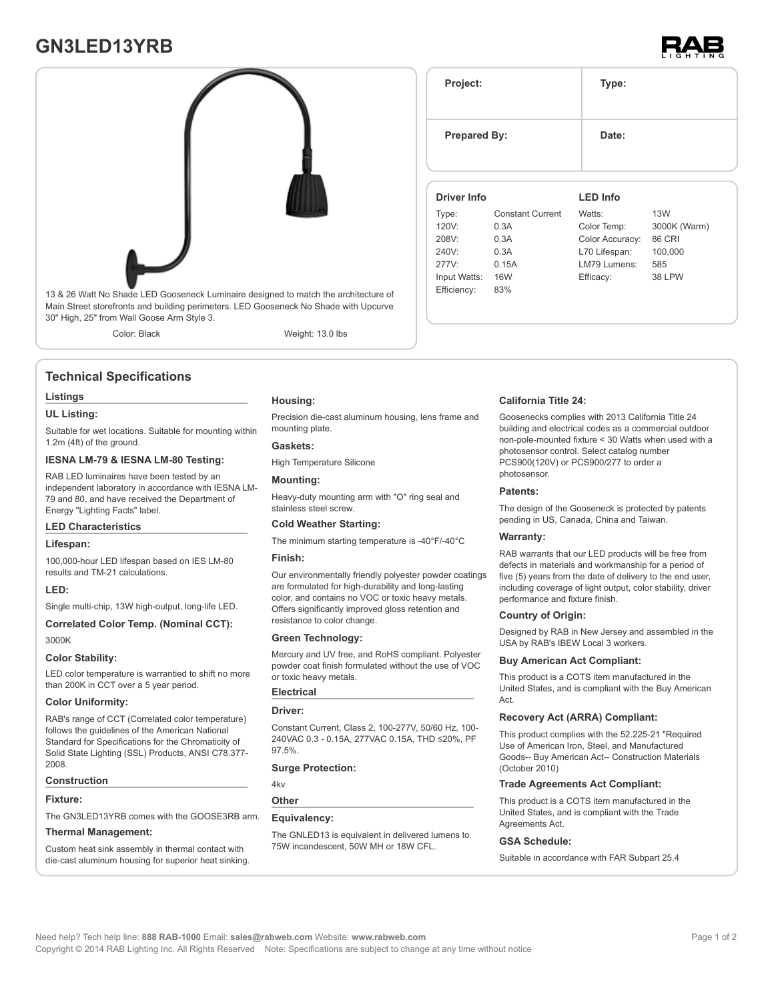# **GN3LED13YRB**





Main Street storefronts and building perimeters. LED Gooseneck No Shade with Upcurve 30" High, 25" from Wall Goose Arm Style 3.

Color: Black Weight: 13.0 lbs

### **Technical Specifications**

#### **Listings**

#### **UL Listing:**

Suitable for wet locations. Suitable for mounting within 1.2m (4ft) of the ground.

#### **IESNA LM-79 & IESNA LM-80 Testing:**

RAB LED luminaires have been tested by an independent laboratory in accordance with IESNA LM-79 and 80, and have received the Department of Energy "Lighting Facts" label.

#### **LED Characteristics**

#### **Lifespan:**

100,000-hour LED lifespan based on IES LM-80 results and TM-21 calculations.

#### **LED:**

Single multi-chip, 13W high-output, long-life LED.

#### **Correlated Color Temp. (Nominal CCT):** 3000K

#### **Color Stability:**

LED color temperature is warrantied to shift no more than 200K in CCT over a 5 year period.

#### **Color Uniformity:**

RAB's range of CCT (Correlated color temperature) follows the guidelines of the American National Standard for Specifications for the Chromaticity of Solid State Lighting (SSL) Products, ANSI C78.377- 2008.

#### **Construction**

#### **Fixture:**

The GN3LED13YRB comes with the GOOSE3RB arm.

#### **Thermal Management:**

Custom heat sink assembly in thermal contact with die-cast aluminum housing for superior heat sinking.

### **Housing:**

Precision die-cast aluminum housing, lens frame and mounting plate.

#### **Gaskets:**

High Temperature Silicone

#### **Mounting:**

Heavy-duty mounting arm with "O" ring seal and stainless steel screw.

#### **Cold Weather Starting:**

The minimum starting temperature is -40°F/-40°C

#### **Finish:**

Our environmentally friendly polyester powder coatings are formulated for high-durability and long-lasting color, and contains no VOC or toxic heavy metals. Offers significantly improved gloss retention and resistance to color change.

#### **Green Technology:**

Mercury and UV free, and RoHS compliant. Polyester powder coat finish formulated without the use of VOC or toxic heavy metals.

#### **Electrical**

#### **Driver:**

Constant Current, Class 2, 100-277V, 50/60 Hz, 100- 240VAC 0.3 - 0.15A, 277VAC 0.15A, THD ≤20%, PF 97.5%.

#### **Surge Protection:**

4kv

#### **Other**

#### **Equivalency:**

The GNLED13 is equivalent in delivered lumens to 75W incandescent, 50W MH or 18W CFL.

| Project:            |                         | Type:           |               |  |
|---------------------|-------------------------|-----------------|---------------|--|
| <b>Prepared By:</b> |                         | Date:           |               |  |
| Driver Info         |                         | <b>LED Info</b> |               |  |
| Type:               | <b>Constant Current</b> | Watts:          | <b>13W</b>    |  |
| 120V:               | 0.3A                    | Color Temp:     | 3000K (Warm)  |  |
| 208V:               | 0.3A                    | Color Accuracy: | 86 CRI        |  |
| 240V:               | 0.3A                    | L70 Lifespan:   | 100,000       |  |
| 277V:               | 0.15A                   | LM79 Lumens:    | 585           |  |
| Input Watts:        | <b>16W</b>              | Efficacy:       | <b>38 LPW</b> |  |
| Ffficiency:         | 83%                     |                 |               |  |

#### **California Title 24:**

Goosenecks complies with 2013 California Title 24 building and electrical codes as a commercial outdoor non-pole-mounted fixture < 30 Watts when used with a photosensor control. Select catalog number PCS900(120V) or PCS900/277 to order a photosensor.

#### **Patents:**

The design of the Gooseneck is protected by patents pending in US, Canada, China and Taiwan.

#### **Warranty:**

RAB warrants that our LED products will be free from defects in materials and workmanship for a period of five (5) years from the date of delivery to the end user, including coverage of light output, color stability, driver performance and fixture finish.

#### **Country of Origin:**

Designed by RAB in New Jersey and assembled in the USA by RAB's IBEW Local 3 workers.

#### **Buy American Act Compliant:**

This product is a COTS item manufactured in the United States, and is compliant with the Buy American Act.

#### **Recovery Act (ARRA) Compliant:**

This product complies with the 52.225-21 "Required Use of American Iron, Steel, and Manufactured Goods-- Buy American Act-- Construction Materials (October 2010)

#### **Trade Agreements Act Compliant:**

This product is a COTS item manufactured in the United States, and is compliant with the Trade Agreements Act

#### **GSA Schedule:**

Suitable in accordance with FAR Subpart 25.4